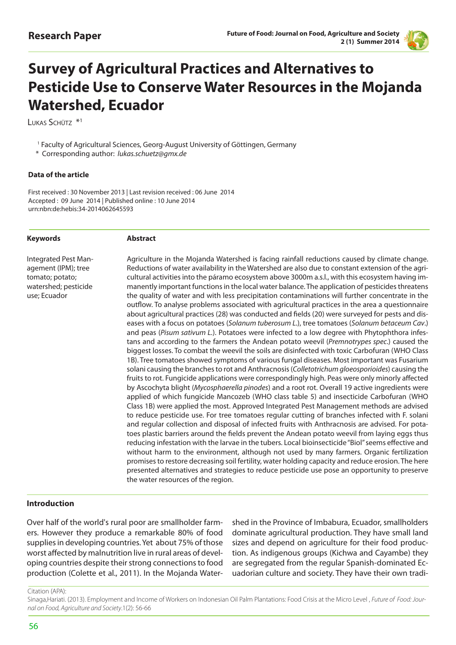

# **Survey of Agricultural Practices and Alternatives to Pesticide Use to Conserve Water Resources in the Mojanda Watershed, Ecuador**

LUKAS SCHÜTZ<sup>\*1</sup>

<sup>1</sup> Faculty of Agricultural Sciences, Georg-August University of Göttingen, Germany

\* Corresponding author: *lukas.schuetz@gmx.de*

#### **Data of the article**

First received : 30 November 2013 | Last revision received : 06 June 2014 Accepted : 09 June 2014 | Published online : 10 June 2014 urn:nbn:de:hebis:34-2014062645593

#### **Keywords**

#### **Abstract**

Integrated Pest Management (IPM); tree tomato; potato; watershed; pesticide use; Ecuador

Agriculture in the Mojanda Watershed is facing rainfall reductions caused by climate change. Reductions of water availability in the Watershed are also due to constant extension of the agricultural activities into the páramo ecosystem above 3000m a.s.l., with this ecosystem having immanently important functions in the local water balance. The application of pesticides threatens the quality of water and with less precipitation contaminations will further concentrate in the outflow. To analyse problems associated with agricultural practices in the area a questionnaire about agricultural practices (28) was conducted and fields (20) were surveyed for pests and diseases with a focus on potatoes (*Solanum tuberosum L*.), tree tomatoes (*Solanum betaceum Cav*.) and peas (*Pisum sativum L.*). Potatoes were infected to a low degree with Phytophthora infestans and according to the farmers the Andean potato weevil (*Premnotrypes spec*.) caused the biggest losses. To combat the weevil the soils are disinfected with toxic Carbofuran (WHO Class 1B). Tree tomatoes showed symptoms of various fungal diseases. Most important was Fusarium solani causing the branches to rot and Anthracnosis (*Colletotrichum gloeosporioides*) causing the fruits to rot. Fungicide applications were correspondingly high. Peas were only minorly affected by Ascochyta blight (*Mycosphaerella pinodes*) and a root rot. Overall 19 active ingredients were applied of which fungicide Mancozeb (WHO class table 5) and insecticide Carbofuran (WHO Class 1B) were applied the most. Approved Integrated Pest Management methods are advised to reduce pesticide use. For tree tomatoes regular cutting of branches infected with F. solani and regular collection and disposal of infected fruits with Anthracnosis are advised. For potatoes plastic barriers around the fields prevent the Andean potato weevil from laying eggs thus reducing infestation with the larvae in the tubers. Local bioinsecticide "Biol" seems effective and without harm to the environment, although not used by many farmers. Organic fertilization promises to restore decreasing soil fertility, water holding capacity and reduce erosion. The here presented alternatives and strategies to reduce pesticide use pose an opportunity to preserve the water resources of the region.

### **Introduction**

Over half of the world's rural poor are smallholder farmers. However they produce a remarkable 80% of food supplies in developing countries. Yet about 75% of those worst affected by malnutrition live in rural areas of developing countries despite their strong connections to food production (Colette et al., 2011). In the Mojanda Watershed in the Province of Imbabura, Ecuador, smallholders dominate agricultural production. They have small land sizes and depend on agriculture for their food production. As indigenous groups (Kichwa and Cayambe) they are segregated from the regular Spanish-dominated Ecuadorian culture and society. They have their own tradi-

Citation (APA):

Sinaga,Hariati. (2013). Employment and Income of Workers on Indonesian Oil Palm Plantations: Food Crisis at the Micro Level , *Future of Food: Journal on Food, Agriculture and Society*.1(2): 56-66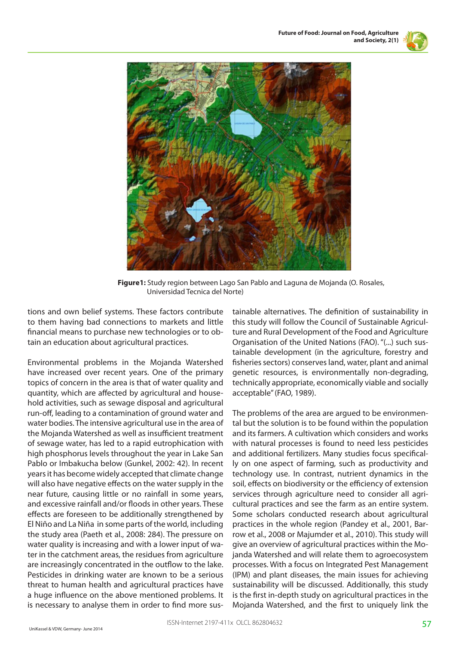



**Figure1:** Study region between Lago San Pablo and Laguna de Mojanda (O. Rosales, Universidad Tecnica del Norte)

tions and own belief systems. These factors contribute to them having bad connections to markets and little financial means to purchase new technologies or to obtain an education about agricultural practices.

Environmental problems in the Mojanda Watershed have increased over recent years. One of the primary topics of concern in the area is that of water quality and quantity, which are affected by agricultural and household activities, such as sewage disposal and agricultural run-off, leading to a contamination of ground water and water bodies. The intensive agricultural use in the area of the Mojanda Watershed as well as insufficient treatment of sewage water, has led to a rapid eutrophication with high phosphorus levels throughout the year in Lake San Pablo or Imbakucha below (Gunkel, 2002: 42). In recent years it has become widely accepted that climate change will also have negative effects on the water supply in the near future, causing little or no rainfall in some years, and excessive rainfall and/or floods in other years. These effects are foreseen to be additionally strengthened by El Niño and La Niña in some parts of the world, including the study area (Paeth et al., 2008: 284). The pressure on water quality is increasing and with a lower input of water in the catchment areas, the residues from agriculture are increasingly concentrated in the outflow to the lake. Pesticides in drinking water are known to be a serious threat to human health and agricultural practices have a huge influence on the above mentioned problems. It is necessary to analyse them in order to find more sustainable alternatives. The definition of sustainability in this study will follow the Council of Sustainable Agriculture and Rural Development of the Food and Agriculture Organisation of the United Nations (FAO). "(...) such sustainable development (in the agriculture, forestry and fisheries sectors) conserves land, water, plant and animal genetic resources, is environmentally non-degrading, technically appropriate, economically viable and socially acceptable" (FAO, 1989).

The problems of the area are argued to be environmental but the solution is to be found within the population and its farmers. A cultivation which considers and works with natural processes is found to need less pesticides and additional fertilizers. Many studies focus specifically on one aspect of farming, such as productivity and technology use. In contrast, nutrient dynamics in the soil, effects on biodiversity or the efficiency of extension services through agriculture need to consider all agricultural practices and see the farm as an entire system. Some scholars conducted research about agricultural practices in the whole region (Pandey et al., 2001, Barrow et al., 2008 or Majumder et al., 2010). This study will give an overview of agricultural practices within the Mojanda Watershed and will relate them to agroecosystem processes. With a focus on Integrated Pest Management (IPM) and plant diseases, the main issues for achieving sustainability will be discussed. Additionally, this study is the first in-depth study on agricultural practices in the Mojanda Watershed, and the first to uniquely link the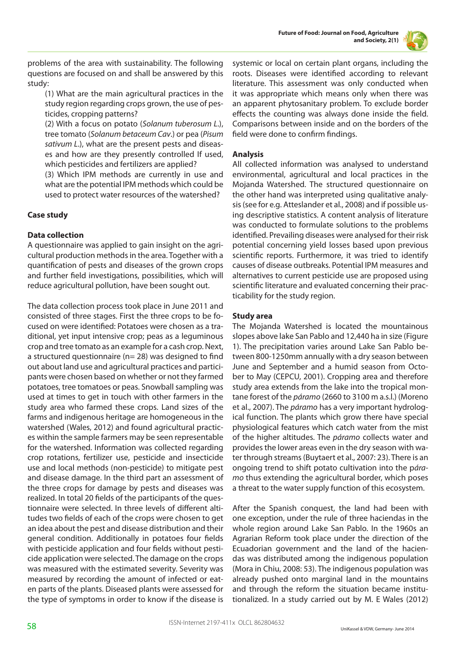



problems of the area with sustainability. The following questions are focused on and shall be answered by this study:

(1) What are the main agricultural practices in the study region regarding crops grown, the use of pesticides, cropping patterns?

(2) With a focus on potato (*Solanum tuberosum L*.), tree tomato (*Solanum betaceum Cav*.) or pea (*Pisum sativum L*.), what are the present pests and diseases and how are they presently controlled If used, which pesticides and fertilizers are applied?

(3) Which IPM methods are currently in use and what are the potential IPM methods which could be used to protect water resources of the watershed?

# **Case study**

## **Data collection**

A questionnaire was applied to gain insight on the agricultural production methods in the area. Together with a quantification of pests and diseases of the grown crops and further field investigations, possibilities, which will reduce agricultural pollution, have been sought out.

The data collection process took place in June 2011 and consisted of three stages. First the three crops to be focused on were identified: Potatoes were chosen as a traditional, yet input intensive crop; peas as a leguminous crop and tree tomato as an example for a cash crop. Next, a structured questionnaire (n= 28) was designed to find out about land use and agricultural practices and participants were chosen based on whether or not they farmed potatoes, tree tomatoes or peas. Snowball sampling was used at times to get in touch with other farmers in the study area who farmed these crops. Land sizes of the farms and indigenous heritage are homogeneous in the watershed (Wales, 2012) and found agricultural practices within the sample farmers may be seen representable for the watershed. Information was collected regarding crop rotations, fertilizer use, pesticide and insecticide use and local methods (non-pesticide) to mitigate pest and disease damage. In the third part an assessment of the three crops for damage by pests and diseases was realized. In total 20 fields of the participants of the questionnaire were selected. In three levels of different altitudes two fields of each of the crops were chosen to get an idea about the pest and disease distribution and their general condition. Additionally in potatoes four fields with pesticide application and four fields without pesticide application were selected. The damage on the crops was measured with the estimated severity. Severity was measured by recording the amount of infected or eaten parts of the plants. Diseased plants were assessed for the type of symptoms in order to know if the disease is

systemic or local on certain plant organs, including the roots. Diseases were identified according to relevant literature. This assessment was only conducted when it was appropriate which means only when there was an apparent phytosanitary problem. To exclude border effects the counting was always done inside the field. Comparisons between inside and on the borders of the field were done to confirm findings.

## **Analysis**

All collected information was analysed to understand environmental, agricultural and local practices in the Mojanda Watershed. The structured questionnaire on the other hand was interpreted using qualitative analysis (see for e.g. Atteslander et al., 2008) and if possible using descriptive statistics. A content analysis of literature was conducted to formulate solutions to the problems identified. Prevailing diseases were analysed for their risk potential concerning yield losses based upon previous scientific reports. Furthermore, it was tried to identify causes of disease outbreaks. Potential IPM measures and alternatives to current pesticide use are proposed using scientific literature and evaluated concerning their practicability for the study region.

# **Study area**

The Mojanda Watershed is located the mountainous slopes above lake San Pablo and 12,440 ha in size (Figure 1). The precipitation varies around Lake San Pablo between 800-1250mm annually with a dry season between June and September and a humid season from October to May (CEPCU, 2001). Cropping area and therefore study area extends from the lake into the tropical montane forest of the *páramo* (2660 to 3100 m a.s.l.) (Moreno et al., 2007). The *páramo* has a very important hydrological function. The plants which grow there have special physiological features which catch water from the mist of the higher altitudes. The *páramo* collects water and provides the lower areas even in the dry season with water through streams (Buytaert et al., 2007: 23). There is an ongoing trend to shift potato cultivation into the p*áramo* thus extending the agricultural border, which poses a threat to the water supply function of this ecosystem.

After the Spanish conquest, the land had been with one exception, under the rule of three haciendas in the whole region around Lake San Pablo. In the 1960s an Agrarian Reform took place under the direction of the Ecuadorian government and the land of the haciendas was distributed among the indigenous population (Mora in Chiu, 2008: 53). The indigenous population was already pushed onto marginal land in the mountains and through the reform the situation became institutionalized. In a study carried out by M. E Wales (2012)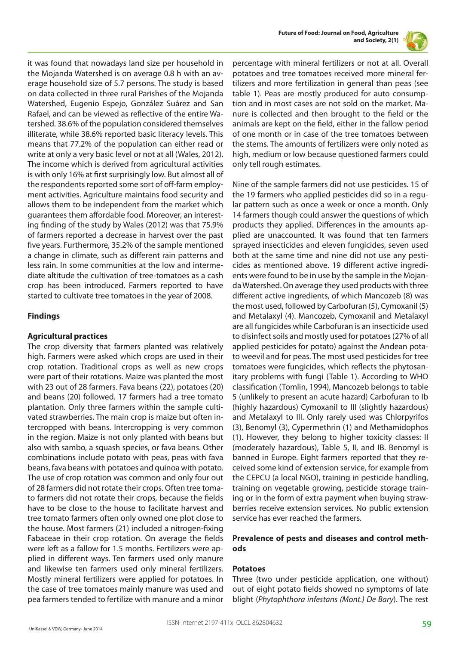



it was found that nowadays land size per household in the Mojanda Watershed is on average 0.8 h with an average household size of 5.7 persons. The study is based on data collected in three rural Parishes of the Mojanda Watershed, Eugenio Espejo, González Suárez and San Rafael, and can be viewed as reflective of the entire Watershed. 38.6% of the population considered themselves illiterate, while 38.6% reported basic literacy levels. This means that 77.2% of the population can either read or write at only a very basic level or not at all (Wales, 2012). The income which is derived from agricultural activities is with only 16% at first surprisingly low. But almost all of the respondents reported some sort of off-farm employment activities. Agriculture maintains food security and allows them to be independent from the market which guarantees them affordable food. Moreover, an interesting finding of the study by Wales (2012) was that 75.9% of farmers reported a decrease in harvest over the past five years. Furthermore, 35.2% of the sample mentioned a change in climate, such as different rain patterns and less rain. In some communities at the low and intermediate altitude the cultivation of tree-tomatoes as a cash crop has been introduced. Farmers reported to have started to cultivate tree tomatoes in the year of 2008.

## **Findings**

# **Agricultural practices**

The crop diversity that farmers planted was relatively high. Farmers were asked which crops are used in their crop rotation. Traditional crops as well as new crops were part of their rotations. Maize was planted the most with 23 out of 28 farmers. Fava beans (22), potatoes (20) and beans (20) followed. 17 farmers had a tree tomato plantation. Only three farmers within the sample cultivated strawberries. The main crop is maize but often intercropped with beans. Intercropping is very common in the region. Maize is not only planted with beans but also with sambo, a squash species, or fava beans. Other combinations include potato with peas, peas with fava beans, fava beans with potatoes and quinoa with potato. The use of crop rotation was common and only four out of 28 farmers did not rotate their crops. Often tree tomato farmers did not rotate their crops, because the fields have to be close to the house to facilitate harvest and tree tomato farmers often only owned one plot close to the house. Most farmers (21) included a nitrogen-fixing Fabaceae in their crop rotation. On average the fields were left as a fallow for 1.5 months. Fertilizers were applied in different ways. Ten farmers used only manure and likewise ten farmers used only mineral fertilizers. Mostly mineral fertilizers were applied for potatoes. In the case of tree tomatoes mainly manure was used and pea farmers tended to fertilize with manure and a minor

percentage with mineral fertilizers or not at all. Overall potatoes and tree tomatoes received more mineral fertilizers and more fertilization in general than peas (see table 1). Peas are mostly produced for auto consumption and in most cases are not sold on the market. Manure is collected and then brought to the field or the animals are kept on the field, either in the fallow period of one month or in case of the tree tomatoes between the stems. The amounts of fertilizers were only noted as high, medium or low because questioned farmers could only tell rough estimates.

Nine of the sample farmers did not use pesticides. 15 of the 19 farmers who applied pesticides did so in a regular pattern such as once a week or once a month. Only 14 farmers though could answer the questions of which products they applied. Differences in the amounts applied are unaccounted. It was found that ten farmers sprayed insecticides and eleven fungicides, seven used both at the same time and nine did not use any pesticides as mentioned above. 19 different active ingredients were found to be in use by the sample in the Mojanda Watershed. On average they used products with three different active ingredients, of which Mancozeb (8) was the most used, followed by Carbofuran (5), Cymoxanil (5) and Metalaxyl (4). Mancozeb, Cymoxanil and Metalaxyl are all fungicides while Carbofuran is an insecticide used to disinfect soils and mostly used for potatoes (27% of all applied pesticides for potato) against the Andean potato weevil and for peas. The most used pesticides for tree tomatoes were fungicides, which reflects the phytosanitary problems with fungi (Table 1). According to WHO classification (Tomlin, 1994), Mancozeb belongs to table 5 (unlikely to present an acute hazard) Carbofuran to Ib (highly hazardous) Cymoxanil to III (slightly hazardous) and Metalaxyl to III. Only rarely used was Chlorpyrifos (3), Benomyl (3), Cypermethrin (1) and Methamidophos (1). However, they belong to higher toxicity classes: II (moderately hazardous), Table 5, II, and IB. Benomyl is banned in Europe. Eight farmers reported that they received some kind of extension service, for example from the CEPCU (a local NGO), training in pesticide handling, training on vegetable growing, pesticide storage training or in the form of extra payment when buying strawberries receive extension services. No public extension service has ever reached the farmers.

### **Prevalence of pests and diseases and control methods**

## **Potatoes**

Three (two under pesticide application, one without) out of eight potato fields showed no symptoms of late blight (*Phytophthora infestans (Mont.) De Bary*). The rest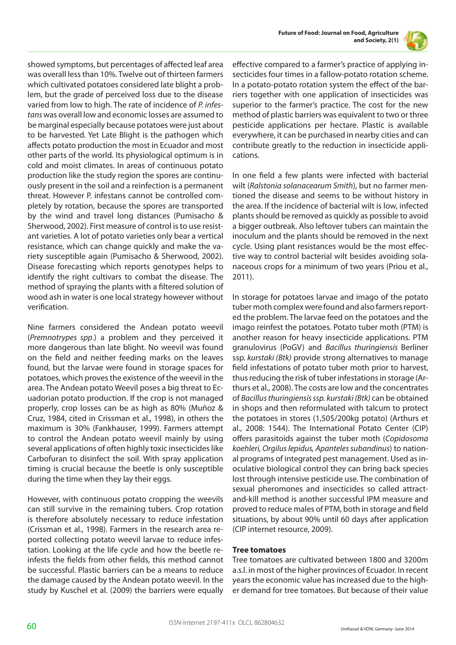



showed symptoms, but percentages of affected leaf area was overall less than 10%. Twelve out of thirteen farmers which cultivated potatoes considered late blight a problem, but the grade of perceived loss due to the disease varied from low to high. The rate of incidence of *P. infestans* was overall low and economic losses are assumed to be marginal especially because potatoes were just about to be harvested. Yet Late Blight is the pathogen which affects potato production the most in Ecuador and most other parts of the world. Its physiological optimum is in cold and moist climates. In areas of continuous potato production like the study region the spores are continuously present in the soil and a reinfection is a permanent threat. However P. infestans cannot be controlled completely by rotation, because the spores are transported by the wind and travel long distances (Pumisacho & Sherwood, 2002). First measure of control is to use resistant varieties. A lot of potato varieties only bear a vertical resistance, which can change quickly and make the variety susceptible again (Pumisacho & Sherwood, 2002). Disease forecasting which reports genotypes helps to identify the right cultivars to combat the disease. The method of spraying the plants with a filtered solution of wood ash in water is one local strategy however without verification.

Nine farmers considered the Andean potato weevil (*Premnotrypes spp*.) a problem and they perceived it more dangerous than late blight. No weevil was found on the field and neither feeding marks on the leaves found, but the larvae were found in storage spaces for potatoes, which proves the existence of the weevil in the area. The Andean potato Weevil poses a big threat to Ecuadorian potato production. If the crop is not managed properly, crop losses can be as high as 80% (Muñoz & Cruz, 1984, cited in Crissman et al., 1998), in others the maximum is 30% (Fankhauser, 1999). Farmers attempt to control the Andean potato weevil mainly by using several applications of often highly toxic insecticides like Carbofuran to disinfect the soil. With spray application timing is crucial because the beetle is only susceptible during the time when they lay their eggs.

However, with continuous potato cropping the weevils can still survive in the remaining tubers. Crop rotation is therefore absolutely necessary to reduce infestation (Crissman et al., 1998). Farmers in the research area reported collecting potato weevil larvae to reduce infestation. Looking at the life cycle and how the beetle reinfests the fields from other fields, this method cannot be successful. Plastic barriers can be a means to reduce the damage caused by the Andean potato weevil. In the study by Kuschel et al. (2009) the barriers were equally effective compared to a farmer's practice of applying insecticides four times in a fallow-potato rotation scheme. In a potato-potato rotation system the effect of the barriers together with one application of insecticides was superior to the farmer's practice. The cost for the new method of plastic barriers was equivalent to two or three pesticide applications per hectare. Plastic is available everywhere, it can be purchased in nearby cities and can contribute greatly to the reduction in insecticide applications.

In one field a few plants were infected with bacterial wilt (*Ralstonia solanacearum Smith*), but no farmer mentioned the disease and seems to be without history in the area. If the incidence of bacterial wilt is low, infected plants should be removed as quickly as possible to avoid a bigger outbreak. Also leftover tubers can maintain the inoculum and the plants should be removed in the next cycle. Using plant resistances would be the most effective way to control bacterial wilt besides avoiding solanaceous crops for a minimum of two years (Priou et al., 2011).

In storage for potatoes larvae and imago of the potato tuber moth complex were found and also farmers reported the problem. The larvae feed on the potatoes and the imago reinfest the potatoes. Potato tuber moth (PTM) is another reason for heavy insecticide applications. PTM granulovirus (PoGV) and *Bacillus thuringiensis* Berliner ssp. *kurstaki (Btk)* provide strong alternatives to manage field infestations of potato tuber moth prior to harvest, thus reducing the risk of tuber infestations in storage (Arthurs et al., 2008). The costs are low and the concentrates of *Bacillus thuringiensis ssp. kurstaki (Btk)* can be obtained in shops and then reformulated with talcum to protect the potatoes in stores (1,50\$/200kg potato) (Arthurs et al., 2008: 1544). The International Potato Center (CIP) offers parasitoids against the tuber moth (*Copidosoma koehleri, Orgilus lepidus, Apanteles subandinus*) to national programs of integrated pest management. Used as inoculative biological control they can bring back species lost through intensive pesticide use. The combination of sexual pheromones and insecticides so called attractand-kill method is another successful IPM measure and proved to reduce males of PTM, both in storage and field situations, by about 90% until 60 days after application (CIP internet resource, 2009).

### **Tree tomatoes**

Tree tomatoes are cultivated between 1800 and 3200m a.s.l. in most of the higher provinces of Ecuador. In recent years the economic value has increased due to the higher demand for tree tomatoes. But because of their value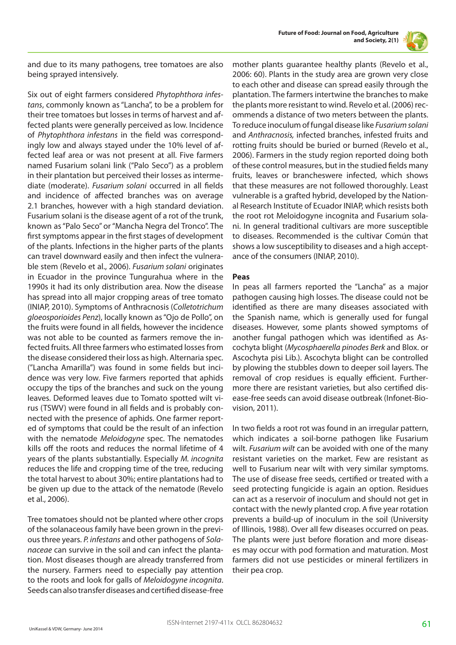



and due to its many pathogens, tree tomatoes are also being sprayed intensively.

Six out of eight farmers considered *Phytophthora infestans*, commonly known as "Lancha", to be a problem for their tree tomatoes but losses in terms of harvest and affected plants were generally perceived as low. Incidence of *Phytophthora infestans* in the field was correspondingly low and always stayed under the 10% level of affected leaf area or was not present at all. Five farmers named Fusarium solani link ("Palo Seco") as a problem in their plantation but perceived their losses as intermediate (moderate). *Fusarium solani* occurred in all fields and incidence of affected branches was on average 2.1 branches, however with a high standard deviation. Fusarium solani is the disease agent of a rot of the trunk, known as "Palo Seco" or "Mancha Negra del Tronco". The first symptoms appear in the first stages of development of the plants. Infections in the higher parts of the plants can travel downward easily and then infect the vulnerable stem (Revelo et al., 2006). *Fusarium solani* originates in Ecuador in the province Tungurahua where in the 1990s it had its only distribution area. Now the disease has spread into all major cropping areas of tree tomato (INIAP, 2010). Symptoms of Anthracnosis (*Colletotrichum gloeosporioides Penz*), locally known as "Ojo de Pollo", on the fruits were found in all fields, however the incidence was not able to be counted as farmers remove the infected fruits. All three farmers who estimated losses from the disease considered their loss as high. Alternaria spec. ("Lancha Amarilla") was found in some fields but incidence was very low. Five farmers reported that aphids occupy the tips of the branches and suck on the young leaves. Deformed leaves due to Tomato spotted wilt virus (TSWV) were found in all fields and is probably connected with the presence of aphids. One farmer reported of symptoms that could be the result of an infection with the nematode *Meloidogyne* spec. The nematodes kills off the roots and reduces the normal lifetime of 4 years of the plants substantially. Especially *M. incognita* reduces the life and cropping time of the tree, reducing the total harvest to about 30%; entire plantations had to be given up due to the attack of the nematode (Revelo et al., 2006).

Tree tomatoes should not be planted where other crops of the solanaceous family have been grown in the previous three years. *P. infestans* and other pathogens of *Solanaceae* can survive in the soil and can infect the plantation. Most diseases though are already transferred from the nursery. Farmers need to especially pay attention to the roots and look for galls of *Meloidogyne incognita*. Seeds can also transfer diseases and certified disease-free

mother plants guarantee healthy plants (Revelo et al., 2006: 60). Plants in the study area are grown very close to each other and disease can spread easily through the plantation. The farmers intertwine the branches to make the plants more resistant to wind. Revelo et al. (2006) recommends a distance of two meters between the plants. To reduce inoculum of fungal disease like *Fusarium solani* and *Anthracnosis,* infected branches, infested fruits and rotting fruits should be buried or burned (Revelo et al., 2006). Farmers in the study region reported doing both of these control measures, but in the studied fields many fruits, leaves or brancheswere infected, which shows that these measures are not followed thoroughly. Least vulnerable is a grafted hybrid, developed by the National Research Institute of Ecuador INIAP, which resists both the root rot Meloidogyne incognita and Fusarium solani. In general traditional cultivars are more susceptible to diseases. Recommended is the cultivar Común that shows a low susceptibility to diseases and a high acceptance of the consumers (INIAP, 2010).

#### **Peas**

In peas all farmers reported the "Lancha" as a major pathogen causing high losses. The disease could not be identified as there are many diseases associated with the Spanish name, which is generally used for fungal diseases. However, some plants showed symptoms of another fungal pathogen which was identified as Ascochyta blight (*Mycosphaerella pinodes Berk* and Blox. or Ascochyta pisi Lib.). Ascochyta blight can be controlled by plowing the stubbles down to deeper soil layers. The removal of crop residues is equally efficient. Furthermore there are resistant varieties, but also certified disease-free seeds can avoid disease outbreak (Infonet-Biovision, 2011).

In two fields a root rot was found in an irregular pattern, which indicates a soil-borne pathogen like Fusarium wilt. *Fusarium wilt* can be avoided with one of the many resistant varieties on the market. Few are resistant as well to Fusarium near wilt with very similar symptoms. The use of disease free seeds, certified or treated with a seed protecting fungicide is again an option. Residues can act as a reservoir of inoculum and should not get in contact with the newly planted crop. A five year rotation prevents a build-up of inoculum in the soil (University of Illinois, 1988). Over all few diseases occurred on peas. The plants were just before floration and more diseases may occur with pod formation and maturation. Most farmers did not use pesticides or mineral fertilizers in their pea crop.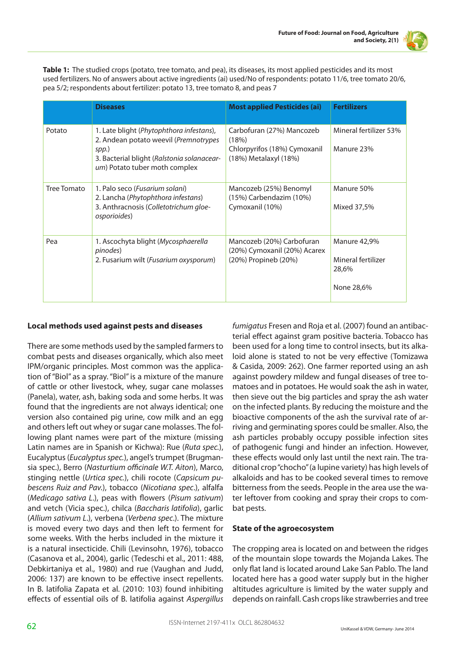

**Table 1:** The studied crops (potato, tree tomato, and pea), its diseases, its most applied pesticides and its most used fertilizers. No of answers about active ingredients (ai) used/No of respondents: potato 11/6, tree tomato 20/6, pea 5/2; respondents about fertilizer: potato 13, tree tomato 8, and peas 7

|             | <b>Diseases</b>                                                                                                                                                           | <b>Most applied Pesticides (ai)</b>                                                         | <b>Fertilizers</b>                                        |
|-------------|---------------------------------------------------------------------------------------------------------------------------------------------------------------------------|---------------------------------------------------------------------------------------------|-----------------------------------------------------------|
| Potato      | 1. Late blight (Phytophthora infestans),<br>2. Andean potato weevil (Premnotrypes<br>spp.)<br>3. Bacterial blight (Ralstonia solanacear-<br>um) Potato tuber moth complex | Carbofuran (27%) Mancozeb<br>(18%)<br>Chlorpyrifos (18%) Cymoxanil<br>(18%) Metalaxyl (18%) | Mineral fertilizer 53%<br>Manure 23%                      |
| Tree Tomato | 1. Palo seco ( <i>Fusarium solani</i> )<br>2. Lancha (Phytophthora infestans)<br>3. Anthracnosis (Colletotrichum gloe-<br>osporioides)                                    | Mancozeb (25%) Benomyl<br>(15%) Carbendazim (10%)<br>Cymoxanil (10%)                        | Manure 50%<br>Mixed 37,5%                                 |
| Pea         | 1. Ascochyta blight (Mycosphaerella<br>pinodes)<br>2. Fusarium wilt ( <i>Fusarium oxysporum</i> )                                                                         | Mancozeb (20%) Carbofuran<br>(20%) Cymoxanil (20%) Acarex<br>(20%) Propineb (20%)           | Manure 42,9%<br>Mineral fertilizer<br>28,6%<br>None 28,6% |

# **Local methods used against pests and diseases**

There are some methods used by the sampled farmers to combat pests and diseases organically, which also meet IPM/organic principles. Most common was the application of "Biol" as a spray. "Biol" is a mixture of the manure of cattle or other livestock, whey, sugar cane molasses (Panela), water, ash, baking soda and some herbs. It was found that the ingredients are not always identical; one version also contained pig urine, cow milk and an egg and others left out whey or sugar cane molasses. The following plant names were part of the mixture (missing Latin names are in Spanish or Kichwa): Rue (*Ruta spec.*), Eucalyptus (*Eucalyptus spec.*), angel's trumpet (Brugmansia spec.), Berro (*Nasturtium officinale W.T. Aiton*), Marco, stinging nettle (*Urtica spec.*), chili rocote (*Capsicum pubescens Ruiz and Pav.*), tobacco (*Nicotiana spec*.), alfalfa (*Medicago sativa L*.), peas with flowers (*Pisum sativum*) and vetch (Vicia spec.), chilca (*Baccharis latifolia*), garlic (*Allium sativum L*.), verbena (*Verbena spec*.). The mixture is moved every two days and then left to ferment for some weeks. With the herbs included in the mixture it is a natural insecticide. Chili (Levinsohn, 1976), tobacco (Casanova et al., 2004), garlic (Tedeschi et al., 2011: 488, Debkirtaniya et al., 1980) and rue (Vaughan and Judd, 2006: 137) are known to be effective insect repellents. In B. latifolia Zapata et al. (2010: 103) found inhibiting effects of essential oils of B. latifolia against *Aspergillus* 

*fumigatus* Fresen and Roja et al. (2007) found an antibacterial effect against gram positive bacteria. Tobacco has been used for a long time to control insects, but its alkaloid alone is stated to not be very effective (Tomizawa & Casida, 2009: 262). One farmer reported using an ash against powdery mildew and fungal diseases of tree tomatoes and in potatoes. He would soak the ash in water, then sieve out the big particles and spray the ash water on the infected plants. By reducing the moisture and the bioactive components of the ash the survival rate of arriving and germinating spores could be smaller. Also, the ash particles probably occupy possible infection sites of pathogenic fungi and hinder an infection. However, these effects would only last until the next rain. The traditional crop "chocho" (a lupine variety) has high levels of alkaloids and has to be cooked several times to remove bitterness from the seeds. People in the area use the water leftover from cooking and spray their crops to combat pests.

# **State of the agroecosystem**

The cropping area is located on and between the ridges of the mountain slope towards the Mojanda Lakes. The only flat land is located around Lake San Pablo. The land located here has a good water supply but in the higher altitudes agriculture is limited by the water supply and depends on rainfall. Cash crops like strawberries and tree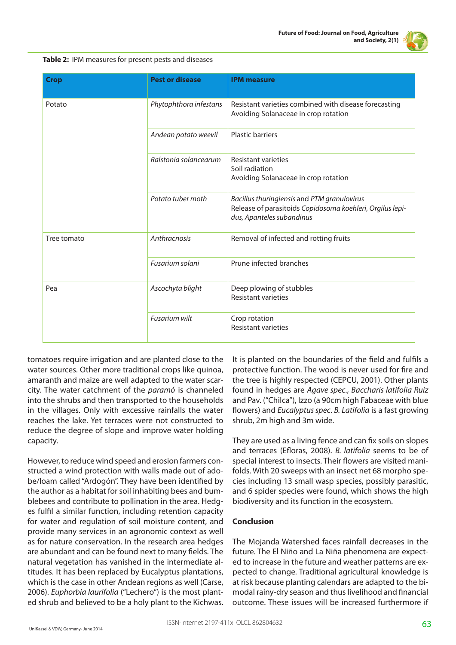

| Table 2: IPM measures for present pests and diseases |  |  |
|------------------------------------------------------|--|--|
|------------------------------------------------------|--|--|

| <b>Crop</b> | <b>Pest or disease</b> | <b>IPM</b> measure                                                                                                                    |
|-------------|------------------------|---------------------------------------------------------------------------------------------------------------------------------------|
| Potato      | Phytophthora infestans | Resistant varieties combined with disease forecasting<br>Avoiding Solanaceae in crop rotation                                         |
|             | Andean potato weevil   | <b>Plastic barriers</b>                                                                                                               |
|             | Ralstonia solancearum  | <b>Resistant varieties</b><br>Soil radiation<br>Avoiding Solanaceae in crop rotation                                                  |
|             | Potato tuber moth      | Bacillus thuringiensis and PTM granulovirus<br>Release of parasitoids Copidosoma koehleri, Orgilus lepi-<br>dus, Apanteles subandinus |
| Tree tomato | Anthracnosis           | Removal of infected and rotting fruits                                                                                                |
|             | Fusarium solani        | Prune infected branches                                                                                                               |
| Pea         | Ascochyta blight       | Deep plowing of stubbles<br><b>Resistant varieties</b>                                                                                |
|             | Fusarium wilt          | Crop rotation<br><b>Resistant varieties</b>                                                                                           |

tomatoes require irrigation and are planted close to the water sources. Other more traditional crops like quinoa, amaranth and maize are well adapted to the water scarcity. The water catchment of the *paramó* is channeled into the shrubs and then transported to the households in the villages. Only with excessive rainfalls the water reaches the lake. Yet terraces were not constructed to reduce the degree of slope and improve water holding capacity.

However, to reduce wind speed and erosion farmers constructed a wind protection with walls made out of adobe/loam called "Ardogón". They have been identified by the author as a habitat for soil inhabiting bees and bumblebees and contribute to pollination in the area. Hedges fulfil a similar function, including retention capacity for water and regulation of soil moisture content, and provide many services in an agronomic context as well as for nature conservation. In the research area hedges are abundant and can be found next to many fields. The natural vegetation has vanished in the intermediate altitudes. It has been replaced by Eucalyptus plantations, which is the case in other Andean regions as well (Carse, 2006). *Euphorbia laurifolia* ("Lechero") is the most planted shrub and believed to be a holy plant to the Kichwas.

It is planted on the boundaries of the field and fulfils a protective function. The wood is never used for fire and the tree is highly respected (CEPCU, 2001). Other plants found in hedges are *Agave spec*., *Baccharis latifolia Ruiz* and Pav. ("Chilca"), Izzo (a 90cm high Fabaceae with blue flowers) and *Eucalyptus spec*. *B. Latifolia* is a fast growing shrub, 2m high and 3m wide.

They are used as a living fence and can fix soils on slopes and terraces (Efloras, 2008). *B. latifolia* seems to be of special interest to insects. Their flowers are visited manifolds. With 20 sweeps with an insect net 68 morpho species including 13 small wasp species, possibly parasitic, and 6 spider species were found, which shows the high biodiversity and its function in the ecosystem.

# **Conclusion**

The Mojanda Watershed faces rainfall decreases in the future. The El Niño and La Niña phenomena are expected to increase in the future and weather patterns are expected to change. Traditional agricultural knowledge is at risk because planting calendars are adapted to the bimodal rainy-dry season and thus livelihood and financial outcome. These issues will be increased furthermore if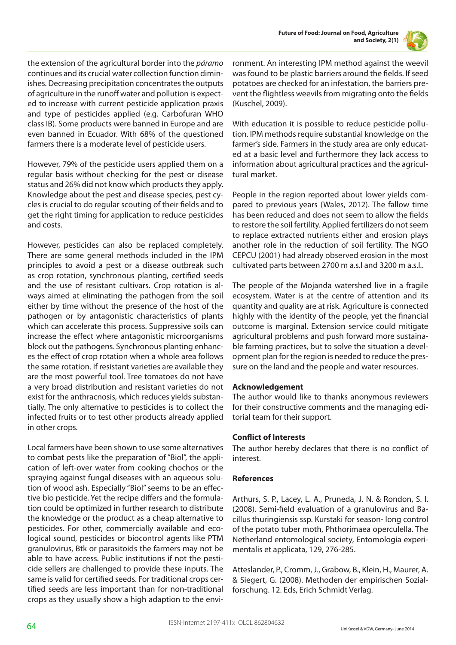



the extension of the agricultural border into the *páramo* continues and its crucial water collection function diminishes. Decreasing precipitation concentrates the outputs of agriculture in the runoff water and pollution is expected to increase with current pesticide application praxis and type of pesticides applied (e.g. Carbofuran WHO class IB). Some products were banned in Europe and are even banned in Ecuador. With 68% of the questioned farmers there is a moderate level of pesticide users.

However, 79% of the pesticide users applied them on a regular basis without checking for the pest or disease status and 26% did not know which products they apply. Knowledge about the pest and disease species, pest cycles is crucial to do regular scouting of their fields and to get the right timing for application to reduce pesticides and costs.

However, pesticides can also be replaced completely. There are some general methods included in the IPM principles to avoid a pest or a disease outbreak such as crop rotation, synchronous planting, certified seeds and the use of resistant cultivars. Crop rotation is always aimed at eliminating the pathogen from the soil either by time without the presence of the host of the pathogen or by antagonistic characteristics of plants which can accelerate this process. Suppressive soils can increase the effect where antagonistic microorganisms block out the pathogens. Synchronous planting enhances the effect of crop rotation when a whole area follows the same rotation. If resistant varieties are available they are the most powerful tool. Tree tomatoes do not have a very broad distribution and resistant varieties do not exist for the anthracnosis, which reduces yields substantially. The only alternative to pesticides is to collect the infected fruits or to test other products already applied in other crops.

Local farmers have been shown to use some alternatives to combat pests like the preparation of "Biol", the application of left-over water from cooking chochos or the spraying against fungal diseases with an aqueous solution of wood ash. Especially "Biol" seems to be an effective bio pesticide. Yet the recipe differs and the formulation could be optimized in further research to distribute the knowledge or the product as a cheap alternative to pesticides. For other, commercially available and ecological sound, pesticides or biocontrol agents like PTM granulovirus, Btk or parasitoids the farmers may not be able to have access. Public institutions if not the pesticide sellers are challenged to provide these inputs. The same is valid for certified seeds. For traditional crops certified seeds are less important than for non-traditional crops as they usually show a high adaption to the environment. An interesting IPM method against the weevil was found to be plastic barriers around the fields. If seed potatoes are checked for an infestation, the barriers prevent the flightless weevils from migrating onto the fields (Kuschel, 2009).

With education it is possible to reduce pesticide pollution. IPM methods require substantial knowledge on the farmer's side. Farmers in the study area are only educated at a basic level and furthermore they lack access to information about agricultural practices and the agricultural market.

People in the region reported about lower yields compared to previous years (Wales, 2012). The fallow time has been reduced and does not seem to allow the fields to restore the soil fertility. Applied fertilizers do not seem to replace extracted nutrients either and erosion plays another role in the reduction of soil fertility. The NGO CEPCU (2001) had already observed erosion in the most cultivated parts between 2700 m a.s.l and 3200 m a.s.l..

The people of the Mojanda watershed live in a fragile ecosystem. Water is at the centre of attention and its quantity and quality are at risk. Agriculture is connected highly with the identity of the people, yet the financial outcome is marginal. Extension service could mitigate agricultural problems and push forward more sustainable farming practices, but to solve the situation a development plan for the region is needed to reduce the pressure on the land and the people and water resources.

# **Acknowledgement**

The author would like to thanks anonymous reviewers for their constructive comments and the managing editorial team for their support.

### **Conflict of Interests**

The author hereby declares that there is no conflict of interest.

### **References**

Arthurs, S. P., Lacey, L. A., Pruneda, J. N. & Rondon, S. I. (2008). Semi-field evaluation of a granulovirus and Bacillus thuringiensis ssp. Kurstaki for season- long control of the potato tuber moth, Phthorimaea operculella. The Netherland entomological society, Entomologia experimentalis et applicata, 129, 276-285.

Atteslander, P., Cromm, J., Grabow, B., Klein, H., Maurer, A. & Siegert, G. (2008). Methoden der empirischen Sozialforschung. 12. Eds, Erich Schmidt Verlag.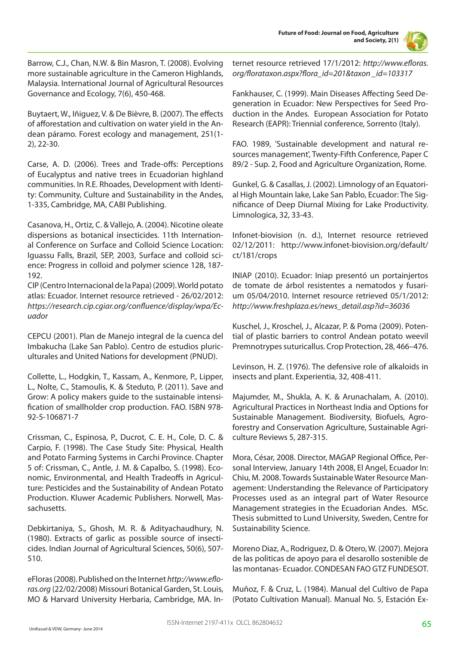

Barrow, C.J., Chan, N.W. & Bin Masron, T. (2008). Evolving more sustainable agriculture in the Cameron Highlands, Malaysia. International Journal of Agricultural Resources Governance and Ecology, 7(6), 450-468.

Buytaert, W., Iñiguez, V. & De Bièvre, B. (2007). The effects of afforestation and cultivation on water yield in the Andean páramo. Forest ecology and management, 251(1- 2), 22-30.

Carse, A. D. (2006). Trees and Trade-offs: Perceptions of Eucalyptus and native trees in Ecuadorian highland communities. In R.E. Rhoades, Development with Identity: Community, Culture and Sustainability in the Andes, 1-335, Cambridge, MA, CABI Publishing.

Casanova, H., Ortiz, C. & Vallejo, A. (2004). Nicotine oleate dispersions as botanical insecticides. 11th International Conference on Surface and Colloid Science Location: Iguassu Falls, Brazil, SEP, 2003, Surface and colloid science: Progress in colloid and polymer science 128, 187- 192.

CIP (Centro Internacional de la Papa) (2009). World potato atlas: Ecuador. Internet resource retrieved - 26/02/2012: *https://research.cip.cgiar.org/confluence/display/wpa/Ecuador*

CEPCU (2001). Plan de Manejo integral de la cuenca del Imbakucha (Lake San Pablo). Centro de estudios pluriculturales and United Nations for development (PNUD).

Collette, L., Hodgkin, T., Kassam, A., Kenmore, P., Lipper, L., Nolte, C., Stamoulis, K. & Steduto, P. (2011). Save and Grow: A policy makers guide to the sustainable intensification of smallholder crop production. FAO. ISBN 978- 92-5-106871-7

Crissman, C., Espinosa, P., Ducrot, C. E. H., Cole, D. C. & Carpio, F. (1998). The Case Study Site: Physical, Health and Potato Farming Systems in Carchi Province. Chapter 5 of: Crissman, C., Antle, J. M. & Capalbo, S. (1998). Economic, Environmental, and Health Tradeoffs in Agriculture: Pesticides and the Sustainability of Andean Potato Production. Kluwer Academic Publishers. Norwell, Massachusetts.

Debkirtaniya, S., Ghosh, M. R. & Adityachaudhury, N. (1980). Extracts of garlic as possible source of insecticides. Indian Journal of Agricultural Sciences, 50(6), 507- 510.

eFloras (2008). Published on the Internet *http://www.efloras.org* (22/02/2008) Missouri Botanical Garden, St. Louis, MO & Harvard University Herbaria, Cambridge, MA. Internet resource retrieved 17/1/2012: *http://www.efloras. org/florataxon.aspx?flora\_id=201&taxon \_id=103317*

Fankhauser, C. (1999). Main Diseases Affecting Seed Degeneration in Ecuador: New Perspectives for Seed Production in the Andes. European Association for Potato Research (EAPR): Triennial conference, Sorrento (Italy).

FAO. 1989, 'Sustainable development and natural resources management', Twenty-Fifth Conference, Paper C 89/2 - Sup. 2, Food and Agriculture Organization, Rome.

Gunkel, G. & Casallas, J. (2002). Limnology of an Equatorial High Mountain lake, Lake San Pablo, Ecuador: The Significance of Deep Diurnal Mixing for Lake Productivity. Limnologica, 32, 33-43.

Infonet-biovision (n. d.), Internet resource retrieved 02/12/2011: http://www.infonet-biovision.org/default/ ct/181/crops

INIAP (2010). Ecuador: Iniap presentó un portainjertos de tomate de árbol resistentes a nematodos y fusarium 05/04/2010. Internet resource retrieved 05/1/2012: *http://www.freshplaza.es/news\_detail.asp?id=36036*

Kuschel, J., Kroschel, J., Alcazar, P. & Poma (2009). Potential of plastic barriers to control Andean potato weevil Premnotrypes suturicallus. Crop Protection, 28, 466–476.

Levinson, H. Z. (1976). The defensive role of alkaloids in insects and plant. Experientia, 32, 408-411.

Majumder, M., Shukla, A. K. & Arunachalam, A. (2010). Agricultural Practices in Northeast India and Options for Sustainable Management. Biodiversity, Biofuels, Agroforestry and Conservation Agriculture, Sustainable Agriculture Reviews 5, 287-315.

Mora, César, 2008. Director, MAGAP Regional Office, Personal Interview, January 14th 2008, El Angel, Ecuador In: Chiu, M. 2008. Towards Sustainable Water Resource Management: Understanding the Relevance of Participatory Processes used as an integral part of Water Resource Management strategies in the Ecuadorian Andes. MSc. Thesis submitted to Lund University, Sweden, Centre for Sustainability Science.

Moreno Diaz, A., Rodriguez, D. & Otero, W. (2007). Mejora de las politicas de apoyo para el desarollo sostenible de las montanas- Ecuador. CONDESAN FAO GTZ FUNDESOT.

Muñoz, F. & Cruz, L. (1984). Manual del Cultivo de Papa (Potato Cultivation Manual). Manual No. 5, Estación Ex-